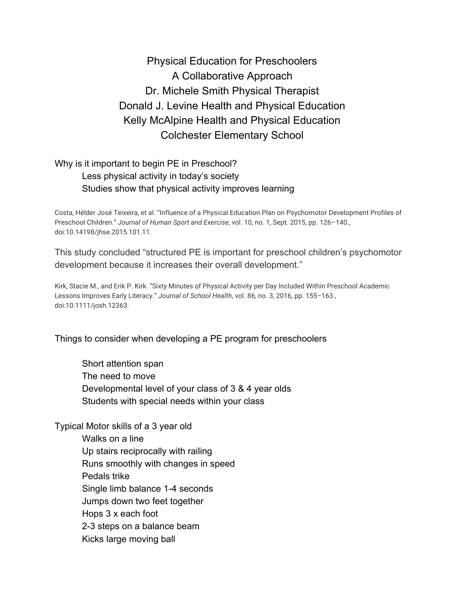Physical Education for Preschoolers A Collaborative Approach Dr. Michele Smith Physical Therapist Donald J. Levine Health and Physical Education Kelly McAlpine Health and Physical Education Colchester Elementary School

## Why is it important to begin PE in Preschool? Less physical activity in today's society Studies show that physical activity improves learning

Costa, Hélder José Teixeira, et al. "Influence of a Physical Education Plan on Psychomotor Development Profiles of Preschool Children." *Journal of Human Sport and Exercise*, vol. 10, no. 1, Sept. 2015, pp. 126–140., doi:10.14198/jhse.2015.101.11.

This study concluded "structured PE is important for preschool children's psychomotor development because it increases their overall development."

Kirk, Stacie M., and Erik P. Kirk. "Sixty Minutes of Physical Activity per Day Included Within Preschool Academic Lessons Improves Early Literacy." *Journal of School Health*, vol. 86, no. 3, 2016, pp. 155–163., doi:10.1111/josh.12363.

Things to consider when developing a PE program for preschoolers

Short attention span The need to move Developmental level of your class of 3 & 4 year olds Students with special needs within your class

Typical Motor skills of a 3 year old Walks on a line Up stairs reciprocally with railing Runs smoothly with changes in speed Pedals trike Single limb balance 1-4 seconds Jumps down two feet together Hops 3 x each foot 2-3 steps on a balance beam Kicks large moving ball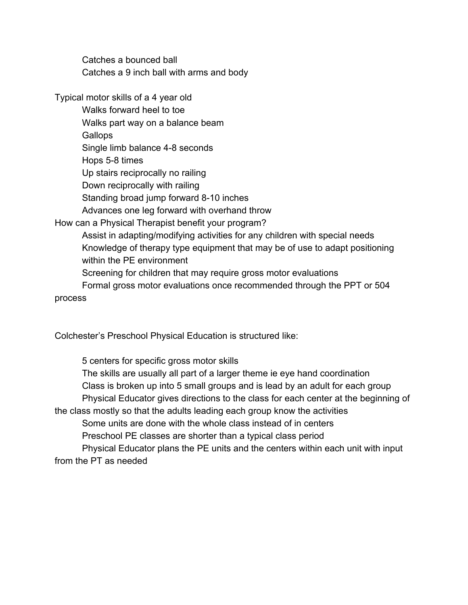Catches a bounced ball Catches a 9 inch ball with arms and body

Typical motor skills of a 4 year old

Walks forward heel to toe

Walks part way on a balance beam

**Gallops** 

Single limb balance 4-8 seconds

Hops 5-8 times

Up stairs reciprocally no railing

Down reciprocally with railing

Standing broad jump forward 8-10 inches

Advances one leg forward with overhand throw

How can a Physical Therapist benefit your program?

Assist in adapting/modifying activities for any children with special needs Knowledge of therapy type equipment that may be of use to adapt positioning within the PE environment

Screening for children that may require gross motor evaluations

Formal gross motor evaluations once recommended through the PPT or 504 process

Colchester's Preschool Physical Education is structured like:

5 centers for specific gross motor skills The skills are usually all part of a larger theme ie eye hand coordination Class is broken up into 5 small groups and is lead by an adult for each group Physical Educator gives directions to the class for each center at the beginning of the class mostly so that the adults leading each group know the activities Some units are done with the whole class instead of in centers Preschool PE classes are shorter than a typical class period Physical Educator plans the PE units and the centers within each unit with input from the PT as needed